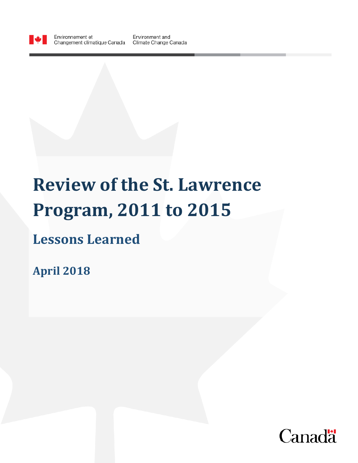

# **Review of the St. Lawrence Program, 2011 to 2015**

## **Lessons Learned**

**April 2018**

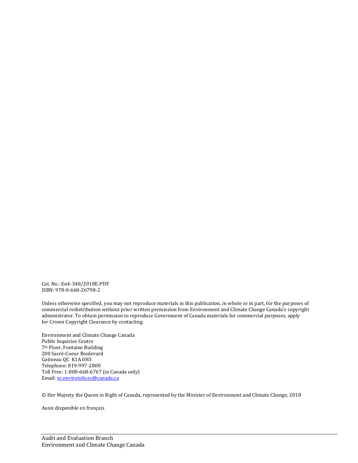Cat. No.: En4-340/2018E-PDF ISBN: 978-0-660-26798-2

Unless otherwise specified, you may not reproduce materials in this publication, in whole or in part, for the purposes of commercial redistribution without prior written permission from Environment and Climate Change Canada's copyright administrator. To obtain permission to reproduce Government of Canada materials for commercial purposes, apply for Crown Copyright Clearance by contacting:

Environment and Climate Change Canada Public Inquiries Centre 7th Floor, Fontaine Building 200 Sacré-Coeur Boulevard Gatineau QC K1A 0H3 Telephone: 819-997-2800 Toll Free: 1-800-668-6767 (in Canada only) Email: [ec.enviroinfo.ec@canada.ca](mailto:ec.enviroinfo.ec@canada.ca)

© Her Majesty the Queen in Right of Canada, represented by the Minister of Environment and Climate Change, 2018

Aussi disponible en français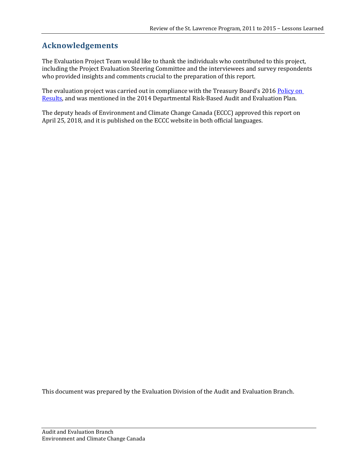#### **Acknowledgements**

The Evaluation Project Team would like to thank the individuals who contributed to this project, including the Project Evaluation Steering Committee and the interviewees and survey respondents who provided insights and comments crucial to the preparation of this report.

The evaluation project was carried out in compliance with the Treasury Board's 201[6 Policy on](https://www.tbs-sct.gc.ca/pol/doc-fra.aspx?id=31300)  [Results,](https://www.tbs-sct.gc.ca/pol/doc-fra.aspx?id=31300) and was mentioned in the 2014 Departmental Risk-Based Audit and Evaluation Plan.

The deputy heads of Environment and Climate Change Canada (ECCC) approved this report on April 25, 2018, and it is published on the ECCC website in both official languages.

This document was prepared by the Evaluation Division of the Audit and Evaluation Branch.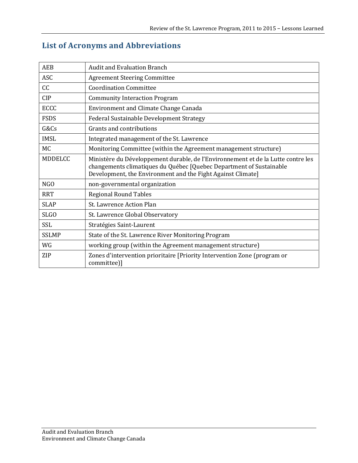| <b>List of Acronyms and Abbreviations</b> |  |
|-------------------------------------------|--|
|-------------------------------------------|--|

| <b>AEB</b>     | <b>Audit and Evaluation Branch</b>                                                                                                                                                                                     |
|----------------|------------------------------------------------------------------------------------------------------------------------------------------------------------------------------------------------------------------------|
| <b>ASC</b>     | <b>Agreement Steering Committee</b>                                                                                                                                                                                    |
| CC             | <b>Coordination Committee</b>                                                                                                                                                                                          |
| <b>CIP</b>     | <b>Community Interaction Program</b>                                                                                                                                                                                   |
| <b>ECCC</b>    | <b>Environment and Climate Change Canada</b>                                                                                                                                                                           |
| <b>FSDS</b>    | Federal Sustainable Development Strategy                                                                                                                                                                               |
| G&Cs           | Grants and contributions                                                                                                                                                                                               |
| <b>IMSL</b>    | Integrated management of the St. Lawrence                                                                                                                                                                              |
| MC             | Monitoring Committee (within the Agreement management structure)                                                                                                                                                       |
| <b>MDDELCC</b> | Ministère du Développement durable, de l'Environnement et de la Lutte contre les<br>changements climatiques du Québec [Quebec Department of Sustainable<br>Development, the Environment and the Fight Against Climate] |
| NGO            | non-governmental organization                                                                                                                                                                                          |
| <b>RRT</b>     | <b>Regional Round Tables</b>                                                                                                                                                                                           |
| <b>SLAP</b>    | St. Lawrence Action Plan                                                                                                                                                                                               |
| <b>SLGO</b>    | St. Lawrence Global Observatory                                                                                                                                                                                        |
| <b>SSL</b>     | Stratégies Saint-Laurent                                                                                                                                                                                               |
| <b>SSLMP</b>   | State of the St. Lawrence River Monitoring Program                                                                                                                                                                     |
| WG             | working group (within the Agreement management structure)                                                                                                                                                              |
| ZIP            | Zones d'intervention prioritaire [Priority Intervention Zone (program or<br>committee)]                                                                                                                                |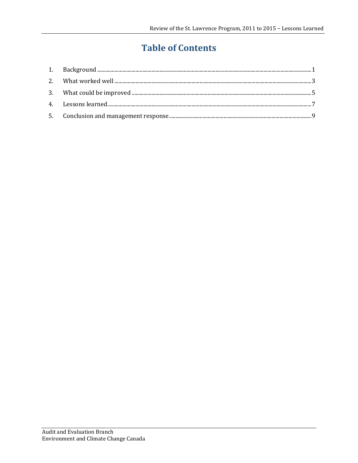## **Table of Contents**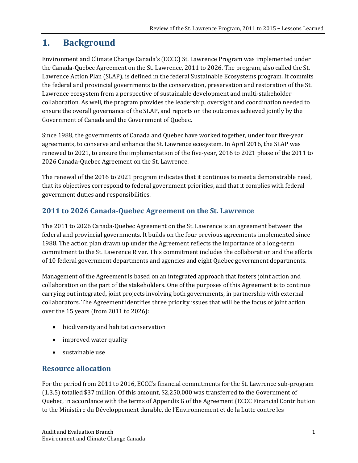## <span id="page-5-0"></span>**1. Background**

Environment and Climate Change Canada's (ECCC) St. Lawrence Program was implemented under the Canada-Quebec Agreement on the St. Lawrence, 2011 to 2026. The program, also called the St. Lawrence Action Plan (SLAP), is defined in the federal Sustainable Ecosystems program. It commits the federal and provincial governments to the conservation, preservation and restoration of the St. Lawrence ecosystem from a perspective of sustainable development and multi-stakeholder collaboration. As well, the program provides the leadership, oversight and coordination needed to ensure the overall governance of the SLAP, and reports on the outcomes achieved jointly by the Government of Canada and the Government of Quebec.

Since 1988, the governments of Canada and Quebec have worked together, under four five-year agreements, to conserve and enhance the St. Lawrence ecosystem. In April 2016, the SLAP was renewed to 2021, to ensure the implementation of the five-year, 2016 to 2021 phase of the 2011 to 2026 Canada-Quebec Agreement on the St. Lawrence.

The renewal of the 2016 to 2021 program indicates that it continues to meet a demonstrable need, that its objectives correspond to federal government priorities, and that it complies with federal government duties and responsibilities.

#### **2011 to 2026 Canada-Quebec Agreement on the St. Lawrence**

The 2011 to 2026 Canada-Quebec Agreement on the St. Lawrence is an agreement between the federal and provincial governments. It builds on the four previous agreements implemented since 1988. The action plan drawn up under the Agreement reflects the importance of a long-term commitment to the St. Lawrence River. This commitment includes the collaboration and the efforts of 10 federal government departments and agencies and eight Quebec government departments.

Management of the Agreement is based on an integrated approach that fosters joint action and collaboration on the part of the stakeholders. One of the purposes of this Agreement is to continue carrying out integrated, joint projects involving both governments, in partnership with external collaborators. The Agreement identifies three priority issues that will be the focus of joint action over the 15 years (from 2011 to 2026):

- biodiversity and habitat conservation
- improved water quality
- sustainable use

#### **Resource allocation**

For the period from 2011 to 2016, ECCC's financial commitments for the St. Lawrence sub-program (1.3.5) totalled \$37 million. Of this amount, \$2,250,000 was transferred to the Government of Quebec, in accordance with the terms of Appendix G of the Agreement (ECCC Financial Contribution to the Ministère du Développement durable, de l'Environnement et de la Lutte contre les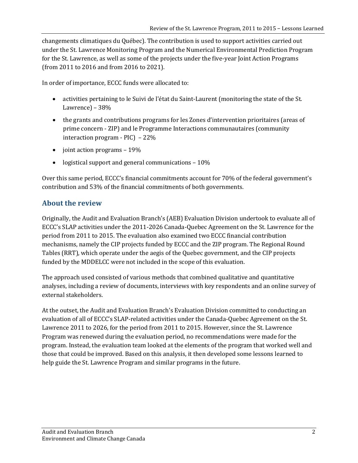changements climatiques du Québec). The contribution is used to support activities carried out under the St. Lawrence Monitoring Program and the Numerical Environmental Prediction Program for the St. Lawrence, as well as some of the projects under the five-year Joint Action Programs (from 2011 to 2016 and from 2016 to 2021).

In order of importance, ECCC funds were allocated to:

- activities pertaining to le Suivi de l'état du Saint-Laurent (monitoring the state of the St. Lawrence) – 38%
- the grants and contributions programs for les Zones d'intervention prioritaires (areas of prime concern - ZIP) and le Programme Interactions communautaires (community interaction program - PIC) – 22%
- joint action programs 19%
- logistical support and general communications  $-10\%$

Over this same period, ECCC's financial commitments account for 70% of the federal government's contribution and 53% of the financial commitments of both governments.

#### **About the review**

Originally, the Audit and Evaluation Branch's (AEB) Evaluation Division undertook to evaluate all of ECCC's SLAP activities under the 2011-2026 Canada-Quebec Agreement on the St. Lawrence for the period from 2011 to 2015. The evaluation also examined two ECCC financial contribution mechanisms, namely the CIP projects funded by ECCC and the ZIP program. The Regional Round Tables (RRT), which operate under the aegis of the Quebec government, and the CIP projects funded by the MDDELCC were not included in the scope of this evaluation.

The approach used consisted of various methods that combined qualitative and quantitative analyses, including a review of documents, interviews with key respondents and an online survey of external stakeholders.

At the outset, the Audit and Evaluation Branch's Evaluation Division committed to conducting an evaluation of all of ECCC's SLAP-related activities under the Canada-Quebec Agreement on the St. Lawrence 2011 to 2026, for the period from 2011 to 2015. However, since the St. Lawrence Program was renewed during the evaluation period, no recommendations were made for the program. Instead, the evaluation team looked at the elements of the program that worked well and those that could be improved. Based on this analysis, it then developed some lessons learned to help guide the St. Lawrence Program and similar programs in the future.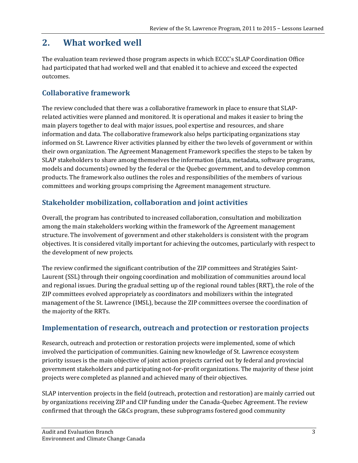## <span id="page-7-0"></span>**2. What worked well**

The evaluation team reviewed those program aspects in which ECCC's SLAP Coordination Office had participated that had worked well and that enabled it to achieve and exceed the expected outcomes.

#### **Collaborative framework**

The review concluded that there was a collaborative framework in place to ensure that SLAPrelated activities were planned and monitored. It is operational and makes it easier to bring the main players together to deal with major issues, pool expertise and resources, and share information and data. The collaborative framework also helps participating organizations stay informed on St. Lawrence River activities planned by either the two levels of government or within their own organization. The Agreement Management Framework specifies the steps to be taken by SLAP stakeholders to share among themselves the information (data, metadata, software programs, models and documents) owned by the federal or the Quebec government, and to develop common products. The framework also outlines the roles and responsibilities of the members of various committees and working groups comprising the Agreement management structure.

#### **Stakeholder mobilization, collaboration and joint activities**

Overall, the program has contributed to increased collaboration, consultation and mobilization among the main stakeholders working within the framework of the Agreement management structure. The involvement of government and other stakeholders is consistent with the program objectives. It is considered vitally important for achieving the outcomes, particularly with respect to the development of new projects.

The review confirmed the significant contribution of the ZIP committees and Stratégies Saint-Laurent (SSL) through their ongoing coordination and mobilization of communities around local and regional issues. During the gradual setting up of the regional round tables (RRT), the role of the ZIP committees evolved appropriately as coordinators and mobilizers within the integrated management of the St. Lawrence (IMSL), because the ZIP committees oversee the coordination of the majority of the RRTs.

#### **Implementation of research, outreach and protection or restoration projects**

Research, outreach and protection or restoration projects were implemented, some of which involved the participation of communities. Gaining new knowledge of St. Lawrence ecosystem priority issues is the main objective of joint action projects carried out by federal and provincial government stakeholders and participating not-for-profit organizations. The majority of these joint projects were completed as planned and achieved many of their objectives.

SLAP intervention projects in the field (outreach, protection and restoration) are mainly carried out by organizations receiving ZIP and CIP funding under the Canada-Quebec Agreement. The review confirmed that through the G&Cs program, these subprograms fostered good community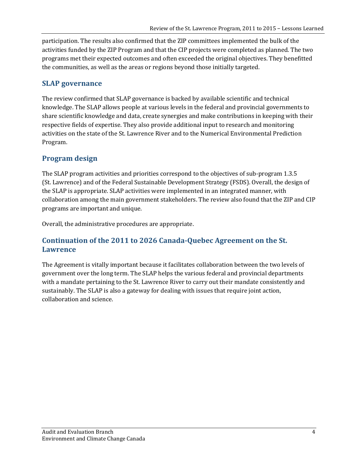participation. The results also confirmed that the ZIP committees implemented the bulk of the activities funded by the ZIP Program and that the CIP projects were completed as planned. The two programs met their expected outcomes and often exceeded the original objectives. They benefitted the communities, as well as the areas or regions beyond those initially targeted.

#### **SLAP governance**

The review confirmed that SLAP governance is backed by available scientific and technical knowledge. The SLAP allows people at various levels in the federal and provincial governments to share scientific knowledge and data, create synergies and make contributions in keeping with their respective fields of expertise. They also provide additional input to research and monitoring activities on the state of the St. Lawrence River and to the Numerical Environmental Prediction Program.

#### **Program design**

The SLAP program activities and priorities correspond to the objectives of sub-program 1.3.5 (St. Lawrence) and of the Federal Sustainable Development Strategy (FSDS). Overall, the design of the SLAP is appropriate. SLAP activities were implemented in an integrated manner, with collaboration among the main government stakeholders. The review also found that the ZIP and CIP programs are important and unique.

Overall, the administrative procedures are appropriate.

#### **Continuation of the 2011 to 2026 Canada-Quebec Agreement on the St. Lawrence**

The Agreement is vitally important because it facilitates collaboration between the two levels of government over the long term. The SLAP helps the various federal and provincial departments with a mandate pertaining to the St. Lawrence River to carry out their mandate consistently and sustainably. The SLAP is also a gateway for dealing with issues that require joint action, collaboration and science.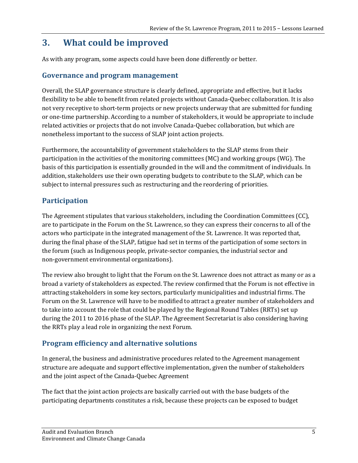## <span id="page-9-0"></span>**3. What could be improved**

As with any program, some aspects could have been done differently or better.

#### **Governance and program management**

Overall, the SLAP governance structure is clearly defined, appropriate and effective, but it lacks flexibility to be able to benefit from related projects without Canada-Quebec collaboration. It is also not very receptive to short-term projects or new projects underway that are submitted for funding or one-time partnership. According to a number of stakeholders, it would be appropriate to include related activities or projects that do not involve Canada-Quebec collaboration, but which are nonetheless important to the success of SLAP joint action projects.

Furthermore, the accountability of government stakeholders to the SLAP stems from their participation in the activities of the monitoring committees (MC) and working groups (WG). The basis of this participation is essentially grounded in the will and the commitment of individuals. In addition, stakeholders use their own operating budgets to contribute to the SLAP, which can be subject to internal pressures such as restructuring and the reordering of priorities.

#### **Participation**

The Agreement stipulates that various stakeholders, including the Coordination Committees (CC), are to participate in the Forum on the St. Lawrence, so they can express their concerns to all of the actors who participate in the integrated management of the St. Lawrence. It was reported that, during the final phase of the SLAP, fatigue had set in terms of the participation of some sectors in the forum (such as Indigenous people, private-sector companies, the industrial sector and non-government environmental organizations).

The review also brought to light that the Forum on the St. Lawrence does not attract as many or as a broad a variety of stakeholders as expected. The review confirmed that the Forum is not effective in attracting stakeholders in some key sectors, particularly municipalities and industrial firms. The Forum on the St. Lawrence will have to be modified to attract a greater number of stakeholders and to take into account the role that could be played by the Regional Round Tables (RRTs) set up during the 2011 to 2016 phase of the SLAP. The Agreement Secretariat is also considering having the RRTs play a lead role in organizing the next Forum.

#### **Program efficiency and alternative solutions**

In general, the business and administrative procedures related to the Agreement management structure are adequate and support effective implementation, given the number of stakeholders and the joint aspect of the Canada-Quebec Agreement

The fact that the joint action projects are basically carried out with the base budgets of the participating departments constitutes a risk, because these projects can be exposed to budget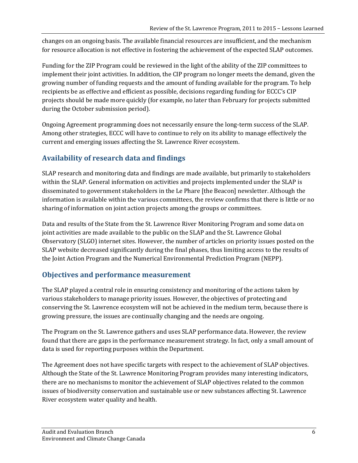changes on an ongoing basis. The available financial resources are insufficient, and the mechanism for resource allocation is not effective in fostering the achievement of the expected SLAP outcomes.

Funding for the ZIP Program could be reviewed in the light of the ability of the ZIP committees to implement their joint activities. In addition, the CIP program no longer meets the demand, given the growing number of funding requests and the amount of funding available for the program. To help recipients be as effective and efficient as possible, decisions regarding funding for ECCC's CIP projects should be made more quickly (for example, no later than February for projects submitted during the October submission period).

Ongoing Agreement programming does not necessarily ensure the long-term success of the SLAP. Among other strategies, ECCC will have to continue to rely on its ability to manage effectively the current and emerging issues affecting the St. Lawrence River ecosystem.

#### **Availability of research data and findings**

SLAP research and monitoring data and findings are made available, but primarily to stakeholders within the SLAP. General information on activities and projects implemented under the SLAP is disseminated to government stakeholders in the Le Phare [the Beacon] newsletter. Although the information is available within the various committees, the review confirms that there is little or no sharing of information on joint action projects among the groups or committees.

Data and results of the State from the St. Lawrence River Monitoring Program and some data on joint activities are made available to the public on the SLAP and the St. Lawrence Global Observatory (SLGO) internet sites. However, the number of articles on priority issues posted on the SLAP website decreased significantly during the final phases, thus limiting access to the results of the Joint Action Program and the Numerical Environmental Prediction Program (NEPP).

#### **Objectives and performance measurement**

The SLAP played a central role in ensuring consistency and monitoring of the actions taken by various stakeholders to manage priority issues. However, the objectives of protecting and conserving the St. Lawrence ecosystem will not be achieved in the medium term, because there is growing pressure, the issues are continually changing and the needs are ongoing.

The Program on the St. Lawrence gathers and uses SLAP performance data. However, the review found that there are gaps in the performance measurement strategy. In fact, only a small amount of data is used for reporting purposes within the Department.

The Agreement does not have specific targets with respect to the achievement of SLAP objectives. Although the State of the St. Lawrence Monitoring Program provides many interesting indicators, there are no mechanisms to monitor the achievement of SLAP objectives related to the common issues of biodiversity conservation and sustainable use or new substances affecting St. Lawrence River ecosystem water quality and health.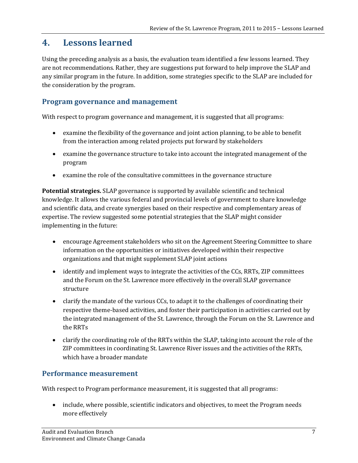## <span id="page-11-0"></span>**4. Lessons learned**

Using the preceding analysis as a basis, the evaluation team identified a few lessons learned. They are not recommendations. Rather, they are suggestions put forward to help improve the SLAP and any similar program in the future. In addition, some strategies specific to the SLAP are included for the consideration by the program.

#### **Program governance and management**

With respect to program governance and management, it is suggested that all programs:

- examine the flexibility of the governance and joint action planning, to be able to benefit from the interaction among related projects put forward by stakeholders
- examine the governance structure to take into account the integrated management of the program
- examine the role of the consultative committees in the governance structure

**Potential strategies.** SLAP governance is supported by available scientific and technical knowledge. It allows the various federal and provincial levels of government to share knowledge and scientific data, and create synergies based on their respective and complementary areas of expertise. The review suggested some potential strategies that the SLAP might consider implementing in the future:

- encourage Agreement stakeholders who sit on the Agreement Steering Committee to share information on the opportunities or initiatives developed within their respective organizations and that might supplement SLAP joint actions
- identify and implement ways to integrate the activities of the CCs, RRTs, ZIP committees and the Forum on the St. Lawrence more effectively in the overall SLAP governance structure
- clarify the mandate of the various CCs, to adapt it to the challenges of coordinating their respective theme-based activities, and foster their participation in activities carried out by the integrated management of the St. Lawrence, through the Forum on the St. Lawrence and the RRTs
- clarify the coordinating role of the RRTs within the SLAP, taking into account the role of the ZIP committees in coordinating St. Lawrence River issues and the activities of the RRTs, which have a broader mandate

#### **Performance measurement**

With respect to Program performance measurement, it is suggested that all programs:

• include, where possible, scientific indicators and objectives, to meet the Program needs more effectively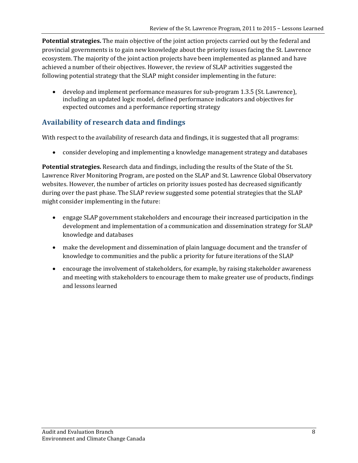**Potential strategies.** The main objective of the joint action projects carried out by the federal and provincial governments is to gain new knowledge about the priority issues facing the St. Lawrence ecosystem. The majority of the joint action projects have been implemented as planned and have achieved a number of their objectives. However, the review of SLAP activities suggested the following potential strategy that the SLAP might consider implementing in the future:

• develop and implement performance measures for sub-program 1.3.5 (St. Lawrence), including an updated logic model, defined performance indicators and objectives for expected outcomes and a performance reporting strategy

#### **Availability of research data and findings**

With respect to the availability of research data and findings, it is suggested that all programs:

• consider developing and implementing a knowledge management strategy and databases

**Potential strategies.** Research data and findings, including the results of the State of the St. Lawrence River Monitoring Program, are posted on the SLAP and St. Lawrence Global Observatory websites. However, the number of articles on priority issues posted has decreased significantly during over the past phase. The SLAP review suggested some potential strategies that the SLAP might consider implementing in the future:

- engage SLAP government stakeholders and encourage their increased participation in the development and implementation of a communication and dissemination strategy for SLAP knowledge and databases
- make the development and dissemination of plain language document and the transfer of knowledge to communities and the public a priority for future iterations of the SLAP
- encourage the involvement of stakeholders, for example, by raising stakeholder awareness and meeting with stakeholders to encourage them to make greater use of products, findings and lessons learned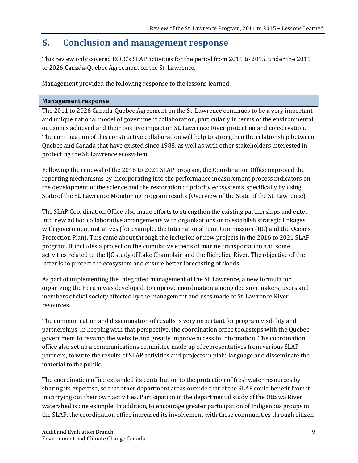## <span id="page-13-0"></span>**5. Conclusion and management response**

This review only covered ECCC's SLAP activities for the period from 2011 to 2015, under the 2011 to 2026 Canada-Quebec Agreement on the St. Lawrence.

Management provided the following response to the lessons learned.

#### **Management response**

The 2011 to 2026 Canada-Quebec Agreement on the St. Lawrence continues to be a very important and unique national model of government collaboration, particularly in terms of the environmental outcomes achieved and their positive impact on St. Lawrence River protection and conservation. The continuation of this constructive collaboration will help to strengthen the relationship between Quebec and Canada that have existed since 1988, as well as with other stakeholders interested in protecting the St. Lawrence ecosystem.

Following the renewal of the 2016 to 2021 SLAP program, the Coordination Office improved the reporting mechanisms by incorporating into the performance measurement process indicators on the development of the science and the restoration of priority ecosystems, specifically by using State of the St. Lawrence Monitoring Program results (Overview of the State of the St. Lawrence).

The SLAP Coordination Office also made efforts to strengthen the existing partnerships and enter into new ad hoc collaborative arrangements with organizations or to establish strategic linkages with government initiatives (for example, the International Joint Commission (IJC) and the Oceans Protection Plan). This came about through the inclusion of new projects in the 2016 to 2021 SLAP program. It includes a project on the cumulative effects of marine transportation and some activities related to the IJC study of Lake Champlain and the Richelieu River. The objective of the latter is to protect the ecosystem and ensure better forecasting of floods.

As part of implementing the integrated management of the St. Lawrence, a new formula for organizing the Forum was developed, to improve coordination among decision makers, users and members of civil society affected by the management and uses made of St. Lawrence River resources.

The communication and dissemination of results is very important for program visibility and partnerships. In keeping with that perspective, the coordination office took steps with the Quebec government to revamp the website and greatly improve access to information. The coordination office also set up a communications committee made up of representatives from various SLAP partners, to write the results of SLAP activities and projects in plain language and disseminate the material to the public.

The coordination office expanded its contribution to the protection of freshwater resources by sharing its expertise, so that other department areas outside that of the SLAP could benefit from it in carrying out their own activities. Participation in the departmental study of the Ottawa River watershed is one example. In addition, to encourage greater participation of Indigenous groups in the SLAP, the coordination office increased its involvement with these communities through citizen